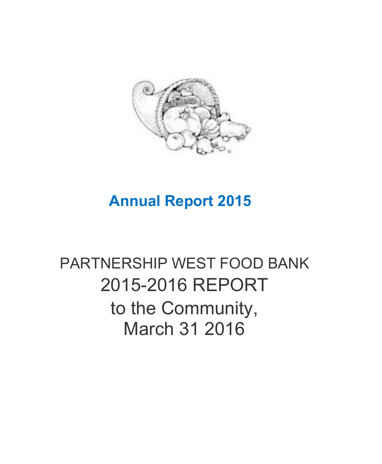

## **Annual Report 2015**

# PARTNERSHIP WEST FOOD BANK 2015-2016 REPORT to the Community, March 31 2016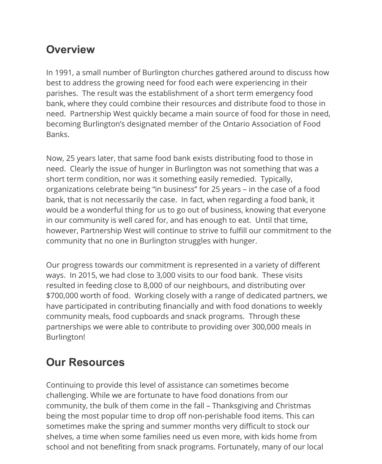#### **Overview**

In 1991, a small number of Burlington churches gathered around to discuss how best to address the growing need for food each were experiencing in their parishes. The result was the establishment of a short term emergency food bank, where they could combine their resources and distribute food to those in need. Partnership West quickly became a main source of food for those in need, becoming Burlington's designated member of the Ontario Association of Food Banks.

Now, 25 years later, that same food bank exists distributing food to those in need. Clearly the issue of hunger in Burlington was not something that was a short term condition, nor was it something easily remedied. Typically, organizations celebrate being "in business" for 25 years – in the case of a food bank, that is not necessarily the case. In fact, when regarding a food bank, it would be a wonderful thing for us to go out of business, knowing that everyone in our community is well cared for, and has enough to eat. Until that time, however, Partnership West will continue to strive to fulfill our commitment to the community that no one in Burlington struggles with hunger.

Our progress towards our commitment is represented in a variety of different ways. In 2015, we had close to 3,000 visits to our food bank. These visits resulted in feeding close to 8,000 of our neighbours, and distributing over \$700,000 worth of food. Working closely with a range of dedicated partners, we have participated in contributing financially and with food donations to weekly community meals, food cupboards and snack programs. Through these partnerships we were able to contribute to providing over 300,000 meals in Burlington!

#### **Our Resources**

Continuing to provide this level of assistance can sometimes become challenging. While we are fortunate to have food donations from our community, the bulk of them come in the fall – Thanksgiving and Christmas being the most popular time to drop off non-perishable food items. This can sometimes make the spring and summer months very difficult to stock our shelves, a time when some families need us even more, with kids home from school and not benefiting from snack programs. Fortunately, many of our local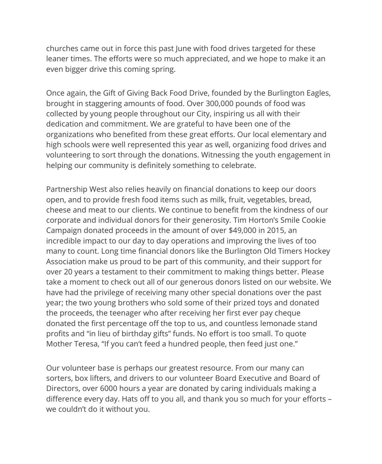churches came out in force this past June with food drives targeted for these leaner times. The efforts were so much appreciated, and we hope to make it an even bigger drive this coming spring.

Once again, the Gift of Giving Back Food Drive, founded by the Burlington Eagles, brought in staggering amounts of food. Over 300,000 pounds of food was collected by young people throughout our City, inspiring us all with their dedication and commitment. We are grateful to have been one of the organizations who benefited from these great efforts. Our local elementary and high schools were well represented this year as well, organizing food drives and volunteering to sort through the donations. Witnessing the youth engagement in helping our community is definitely something to celebrate.

Partnership West also relies heavily on financial donations to keep our doors open, and to provide fresh food items such as milk, fruit, vegetables, bread, cheese and meat to our clients. We continue to benefit from the kindness of our corporate and individual donors for their generosity. Tim Horton's Smile Cookie Campaign donated proceeds in the amount of over \$49,000 in 2015, an incredible impact to our day to day operations and improving the lives of too many to count. Long time financial donors like the Burlington Old Timers Hockey Association make us proud to be part of this community, and their support for over 20 years a testament to their commitment to making things better. Please take a moment to check out all of our generous donors listed on our website. We have had the privilege of receiving many other special donations over the past year; the two young brothers who sold some of their prized toys and donated the proceeds, the teenager who after receiving her first ever pay cheque donated the first percentage off the top to us, and countless lemonade stand profits and "in lieu of birthday gifts" funds. No effort is too small. To quote Mother Teresa, "If you can't feed a hundred people, then feed just one."

Our volunteer base is perhaps our greatest resource. From our many can sorters, box lifters, and drivers to our volunteer Board Executive and Board of Directors, over 6000 hours a year are donated by caring individuals making a difference every day. Hats off to you all, and thank you so much for your efforts – we couldn't do it without you.